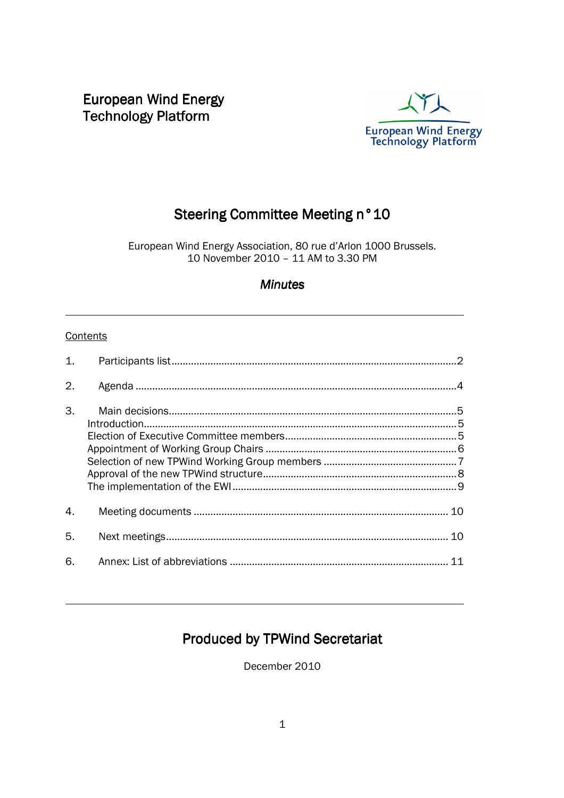European Wind Energy **Technology Platform** 



# Steering Committee Meeting n°10

European Wind Energy Association, 80 rue d'Arlon 1000 Brussels. 10 November 2010 – 11 AM to 3.30 PM

## **Minutes**

#### **Contents**

l

l

| $\mathbf{1}$ .   |  |
|------------------|--|
| 2.               |  |
| 3.               |  |
| $\overline{4}$ . |  |
| 5.               |  |
| 6.               |  |

## Produced by TPWind Secretariat

December 2010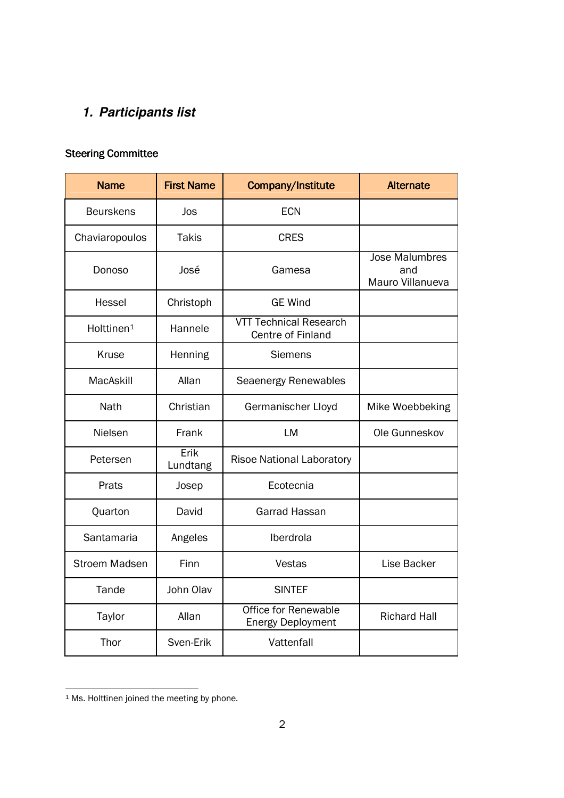# **1. Participants list**

## Steering Committee

| <b>Name</b>                     | <b>First Name</b> | Company/Institute                                       | <b>Alternate</b>                                 |
|---------------------------------|-------------------|---------------------------------------------------------|--------------------------------------------------|
| <b>Beurskens</b>                | Jos               | <b>ECN</b>                                              |                                                  |
| Chaviaropoulos                  | <b>Takis</b>      | <b>CRES</b>                                             |                                                  |
| Donoso                          | José              | Gamesa                                                  | <b>Jose Malumbres</b><br>and<br>Mauro Villanueva |
| <b>Hessel</b>                   | Christoph         | <b>GE Wind</b>                                          |                                                  |
| Holttinen <sup>1</sup>          | Hannele           | <b>VTT Technical Research</b><br>Centre of Finland      |                                                  |
| Kruse                           | Henning           | <b>Siemens</b>                                          |                                                  |
| MacAskill                       | Allan             | Seaenergy Renewables                                    |                                                  |
| Nath                            | Christian         | Germanischer Lloyd                                      | Mike Woebbeking                                  |
| Nielsen                         | Frank             | <b>LM</b>                                               | Ole Gunneskov                                    |
| Petersen                        | Erik<br>Lundtang  | <b>Risoe National Laboratory</b>                        |                                                  |
| Prats                           | Josep             | Ecotecnia                                               |                                                  |
| Quarton                         | David             | Garrad Hassan                                           |                                                  |
| Santamaria                      | Angeles           | Iberdrola                                               |                                                  |
| <b>Stroem Madsen</b>            | Finn              | Vestas                                                  | Lise Backer                                      |
| Tande                           | John Olav         | <b>SINTEF</b>                                           |                                                  |
| Taylor                          | Allan             | <b>Office for Renewable</b><br><b>Energy Deployment</b> | <b>Richard Hall</b>                              |
| Thor<br>Sven-Erik<br>Vattenfall |                   |                                                         |                                                  |

<sup>&</sup>lt;sup>1</sup> Ms. Holttinen joined the meeting by phone.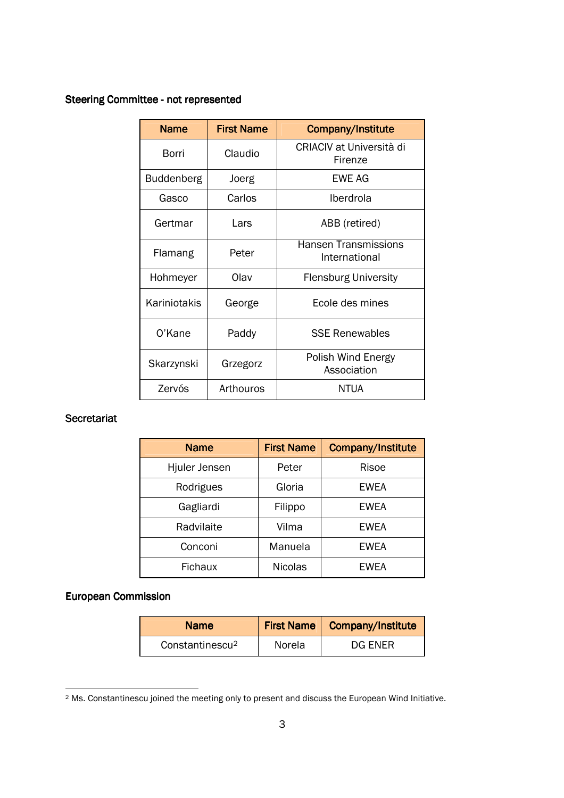### Steering Committee - not represented

| <b>Name</b>       | <b>First Name</b> | <b>Company/Institute</b>                     |
|-------------------|-------------------|----------------------------------------------|
| Borri             | Claudio           | CRIACIV at Università di<br>Firenze          |
| <b>Buddenberg</b> | Joerg             | FWF AG                                       |
| Gasco             | Carlos            | Iberdrola                                    |
| Gertmar           | Lars              | ABB (retired)                                |
| Flamang           | Peter             | <b>Hansen Transmissions</b><br>International |
| Hohmeyer          | Olav              | <b>Flensburg University</b>                  |
| Kariniotakis      | George            | Ecole des mines                              |
| O'Kane            | Paddy             | <b>SSE Renewables</b>                        |
| Skarzynski        | Grzegorz          | Polish Wind Energy<br>Association            |
| Zervós            | Arthouros         | NTUA                                         |

#### Secretariat

| <b>Name</b>    | <b>First Name</b> | <b>Company/Institute</b> |
|----------------|-------------------|--------------------------|
| Hjuler Jensen  | Peter             | Risoe                    |
| Rodrigues      | Gloria            | <b>EWEA</b>              |
| Gagliardi      | Filippo           | <b>EWEA</b>              |
| Radvilaite     | Vilma             | <b>EWEA</b>              |
| Conconi        | Manuela           | <b>EWEA</b>              |
| <b>Fichaux</b> | <b>Nicolas</b>    | <b>EWEA</b>              |

## European Commission European Commission

| <b>Name</b>                 |        | First Name   Company/Institute |
|-----------------------------|--------|--------------------------------|
| Constantinescu <sup>2</sup> | Norela | DG ENER                        |

<sup>2</sup> Ms. Constantinescu joined the meeting only to present and discuss the European Wind Initiative.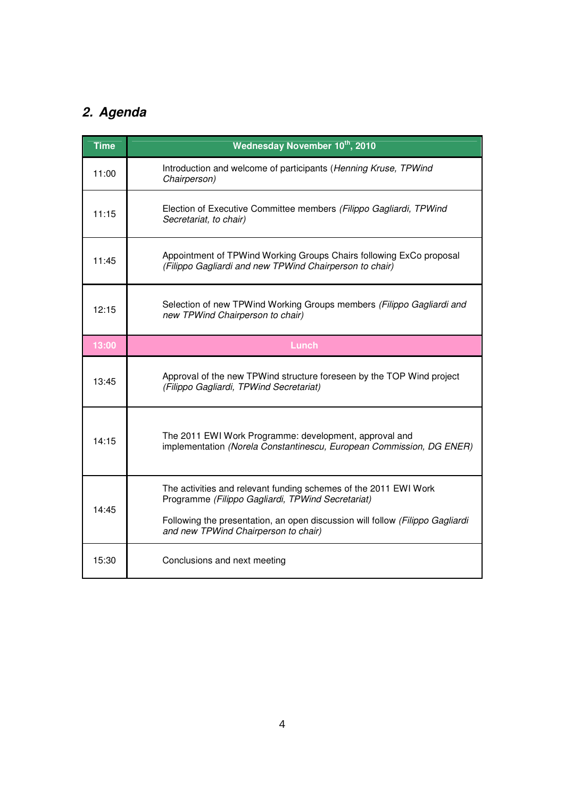# **2. Agenda**

| <b>Time</b> | Wednesday November 10th, 2010                                                                                                                                                                                                                  |
|-------------|------------------------------------------------------------------------------------------------------------------------------------------------------------------------------------------------------------------------------------------------|
| 11:00       | Introduction and welcome of participants (Henning Kruse, TPWind<br>Chairperson)                                                                                                                                                                |
| 11:15       | Election of Executive Committee members (Filippo Gagliardi, TPWind<br>Secretariat, to chair)                                                                                                                                                   |
| 11:45       | Appointment of TPWind Working Groups Chairs following ExCo proposal<br>(Filippo Gagliardi and new TPWind Chairperson to chair)                                                                                                                 |
| 12:15       | Selection of new TPWind Working Groups members (Filippo Gagliardi and<br>new TPWind Chairperson to chair)                                                                                                                                      |
| 13:00       | <b>Lunch</b>                                                                                                                                                                                                                                   |
| 13:45       | Approval of the new TPWind structure foreseen by the TOP Wind project<br>(Filippo Gagliardi, TPWind Secretariat)                                                                                                                               |
| 14:15       | The 2011 EWI Work Programme: development, approval and<br>implementation (Norela Constantinescu, European Commission, DG ENER)                                                                                                                 |
| 14:45       | The activities and relevant funding schemes of the 2011 EWI Work<br>Programme (Filippo Gagliardi, TPWind Secretariat)<br>Following the presentation, an open discussion will follow (Filippo Gagliardi<br>and new TPWind Chairperson to chair) |
| 15:30       | Conclusions and next meeting                                                                                                                                                                                                                   |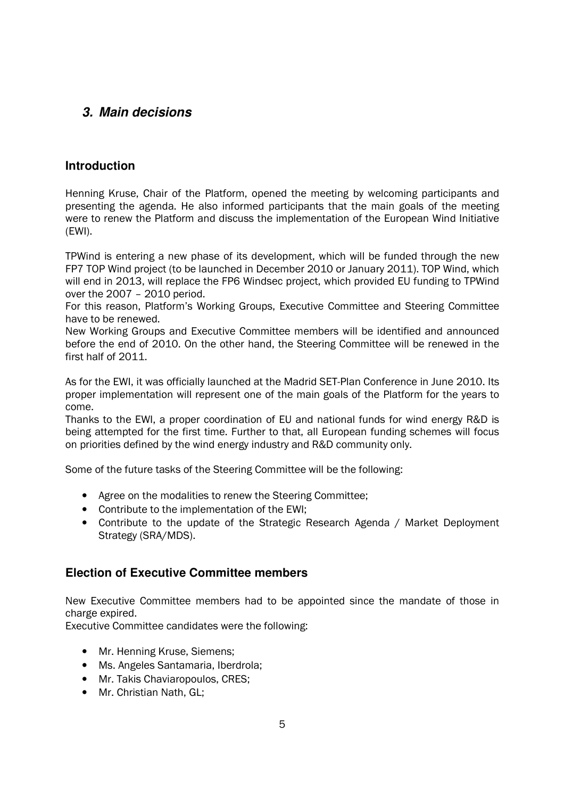## **3. Main decisions**

## **Introduction**

Henning Kruse, Chair of the Platform, opened the meeting by welcoming participants and presenting the agenda. He also informed participants that the main goals of the meeting were to renew the Platform and discuss the implementation of the European Wind Initiative (EWI).

TPWind is entering a new phase of its development, which will be funded through the new FP7 TOP Wind project (to be launched in December 2010 or January 2011). TOP Wind, which will end in 2013, will replace the FP6 Windsec project, which provided EU funding to TPWind over the 2007 – 2010 period.

For this reason, Platform's Working Groups, Executive Committee and Steering Committee have to be renewed.

New Working Groups and Executive Committee members will be identified and announced before the end of 2010. On the other hand, the Steering Committee will be renewed in the first half of 2011.

As for the EWI, it was officially launched at the Madrid SET-Plan Conference in June 2010. Its proper implementation will represent one of the main goals of the Platform for the years to come.

Thanks to the EWI, a proper coordination of EU and national funds for wind energy R&D is being attempted for the first time. Further to that, all European funding schemes will focus on priorities defined by the wind energy industry and R&D community only.

Some of the future tasks of the Steering Committee will be the following:

- Agree on the modalities to renew the Steering Committee;
- Contribute to the implementation of the EWI;
- Contribute to the update of the Strategic Research Agenda / Market Deployment Strategy (SRA/MDS).

## **Election of Executive Committee members**

New Executive Committee members had to be appointed since the mandate of those in charge expired.

Executive Committee candidates were the following:

- Mr. Henning Kruse, Siemens:
- Ms. Angeles Santamaria, Iberdrola;
- Mr. Takis Chaviaropoulos, CRES;
- Mr. Christian Nath, GL;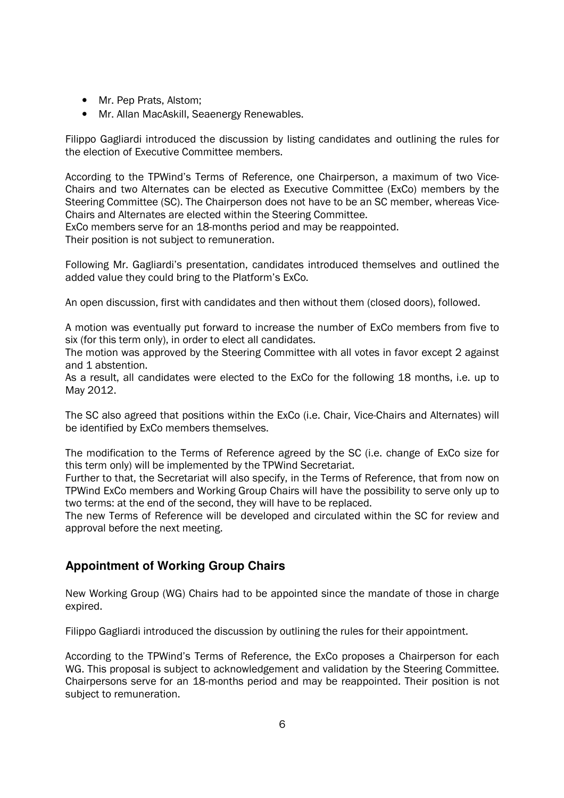- Mr. Pep Prats, Alstom:
- Mr. Allan MacAskill, Seaenergy Renewables.

Filippo Gagliardi introduced the discussion by listing candidates and outlining the rules for the election of Executive Committee members.

According to the TPWind's Terms of Reference, one Chairperson, a maximum of two Vice-Chairs and two Alternates can be elected as Executive Committee (ExCo) members by the Steering Committee (SC). The Chairperson does not have to be an SC member, whereas Vice-Chairs and Alternates are elected within the Steering Committee.

ExCo members serve for an 18-months period and may be reappointed. Their position is not subject to remuneration.

Following Mr. Gagliardi's presentation, candidates introduced themselves and outlined the added value they could bring to the Platform's ExCo.

An open discussion, first with candidates and then without them (closed doors), followed.

A motion was eventually put forward to increase the number of ExCo members from five to six (for this term only), in order to elect all candidates.

The motion was approved by the Steering Committee with all votes in favor except 2 against and 1 abstention.

As a result, all candidates were elected to the ExCo for the following 18 months, i.e. up to May 2012.

The SC also agreed that positions within the ExCo (i.e. Chair, Vice-Chairs and Alternates) will be identified by ExCo members themselves.

The modification to the Terms of Reference agreed by the SC (i.e. change of ExCo size for this term only) will be implemented by the TPWind Secretariat.

Further to that, the Secretariat will also specify, in the Terms of Reference, that from now on TPWind ExCo members and Working Group Chairs will have the possibility to serve only up to two terms: at the end of the second, they will have to be replaced.

The new Terms of Reference will be developed and circulated within the SC for review and approval before the next meeting.

## **Appointment of Working Group Chairs**

New Working Group (WG) Chairs had to be appointed since the mandate of those in charge expired.

Filippo Gagliardi introduced the discussion by outlining the rules for their appointment.

According to the TPWind's Terms of Reference, the ExCo proposes a Chairperson for each WG. This proposal is subject to acknowledgement and validation by the Steering Committee. Chairpersons serve for an 18-months period and may be reappointed. Their position is not subject to remuneration.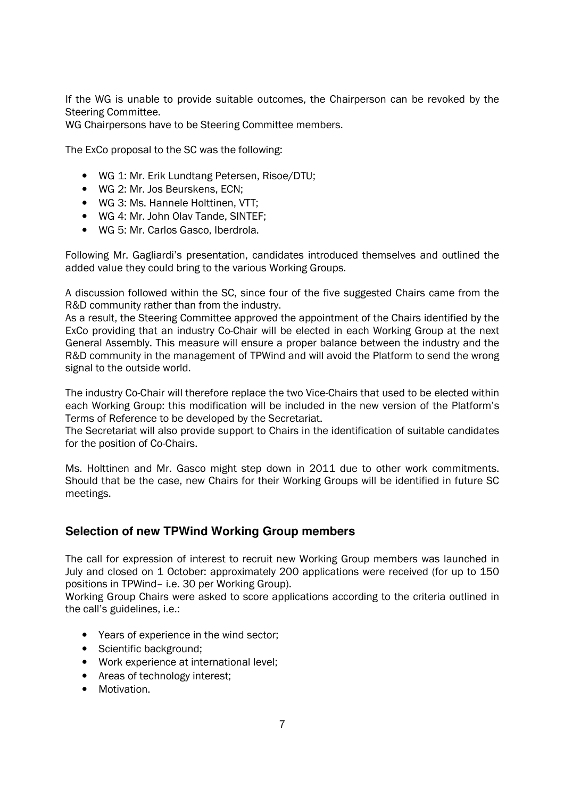If the WG is unable to provide suitable outcomes, the Chairperson can be revoked by the Steering Committee.

WG Chairpersons have to be Steering Committee members.

The ExCo proposal to the SC was the following:

- WG 1: Mr. Erik Lundtang Petersen, Risoe/DTU;
- WG 2: Mr. Jos Beurskens, ECN;
- WG 3: Ms. Hannele Holttinen, VTT:
- WG 4: Mr. John Olav Tande, SINTEF;
- WG 5: Mr. Carlos Gasco, Iberdrola.

Following Mr. Gagliardi's presentation, candidates introduced themselves and outlined the added value they could bring to the various Working Groups.

A discussion followed within the SC, since four of the five suggested Chairs came from the R&D community rather than from the industry.

As a result, the Steering Committee approved the appointment of the Chairs identified by the ExCo providing that an industry Co-Chair will be elected in each Working Group at the next General Assembly. This measure will ensure a proper balance between the industry and the R&D community in the management of TPWind and will avoid the Platform to send the wrong signal to the outside world.

The industry Co-Chair will therefore replace the two Vice-Chairs that used to be elected within each Working Group: this modification will be included in the new version of the Platform's Terms of Reference to be developed by the Secretariat.

The Secretariat will also provide support to Chairs in the identification of suitable candidates for the position of Co-Chairs.

Ms. Holttinen and Mr. Gasco might step down in 2011 due to other work commitments. Should that be the case, new Chairs for their Working Groups will be identified in future SC meetings.

#### **Selection of new TPWind Working Group members**

The call for expression of interest to recruit new Working Group members was launched in July and closed on 1 October: approximately 200 applications were received (for up to 150 positions in TPWind– i.e. 30 per Working Group).

Working Group Chairs were asked to score applications according to the criteria outlined in the call's guidelines, i.e.:

- Years of experience in the wind sector;
- Scientific background;
- Work experience at international level;
- Areas of technology interest;
- Motivation.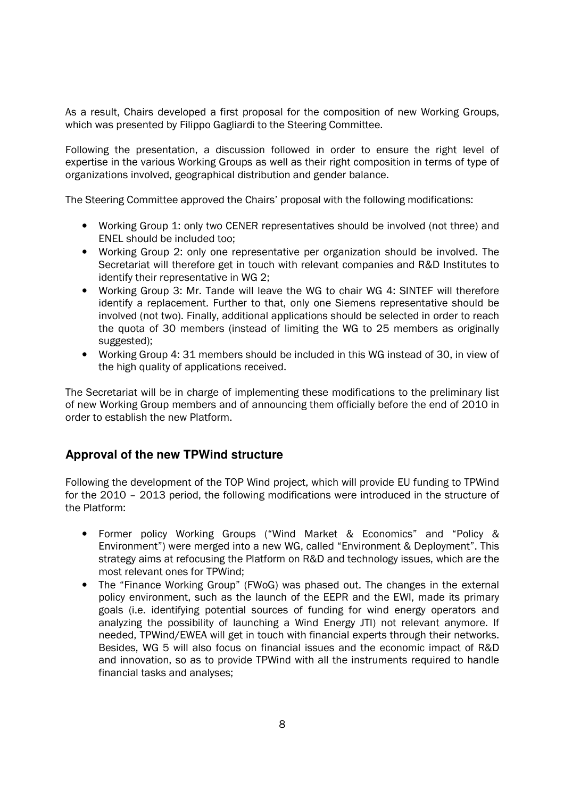As a result, Chairs developed a first proposal for the composition of new Working Groups, which was presented by Filippo Gagliardi to the Steering Committee.

Following the presentation, a discussion followed in order to ensure the right level of expertise in the various Working Groups as well as their right composition in terms of type of organizations involved, geographical distribution and gender balance.

The Steering Committee approved the Chairs' proposal with the following modifications:

- Working Group 1: only two CENER representatives should be involved (not three) and ENEL should be included too;
- Working Group 2: only one representative per organization should be involved. The Secretariat will therefore get in touch with relevant companies and R&D Institutes to identify their representative in WG 2;
- Working Group 3: Mr. Tande will leave the WG to chair WG 4: SINTEF will therefore identify a replacement. Further to that, only one Siemens representative should be involved (not two). Finally, additional applications should be selected in order to reach the quota of 30 members (instead of limiting the WG to 25 members as originally suggested);
- Working Group 4: 31 members should be included in this WG instead of 30, in view of the high quality of applications received.

The Secretariat will be in charge of implementing these modifications to the preliminary list of new Working Group members and of announcing them officially before the end of 2010 in order to establish the new Platform.

## **Approval of the new TPWind structure**

Following the development of the TOP Wind project, which will provide EU funding to TPWind for the 2010 – 2013 period, the following modifications were introduced in the structure of the Platform:

- Former policy Working Groups ("Wind Market & Economics" and "Policy & Environment") were merged into a new WG, called "Environment & Deployment". This strategy aims at refocusing the Platform on R&D and technology issues, which are the most relevant ones for TPWind;
- The "Finance Working Group" (FWoG) was phased out. The changes in the external policy environment, such as the launch of the EEPR and the EWI, made its primary goals (i.e. identifying potential sources of funding for wind energy operators and analyzing the possibility of launching a Wind Energy JTI) not relevant anymore. If needed, TPWind/EWEA will get in touch with financial experts through their networks. Besides, WG 5 will also focus on financial issues and the economic impact of R&D and innovation, so as to provide TPWind with all the instruments required to handle financial tasks and analyses;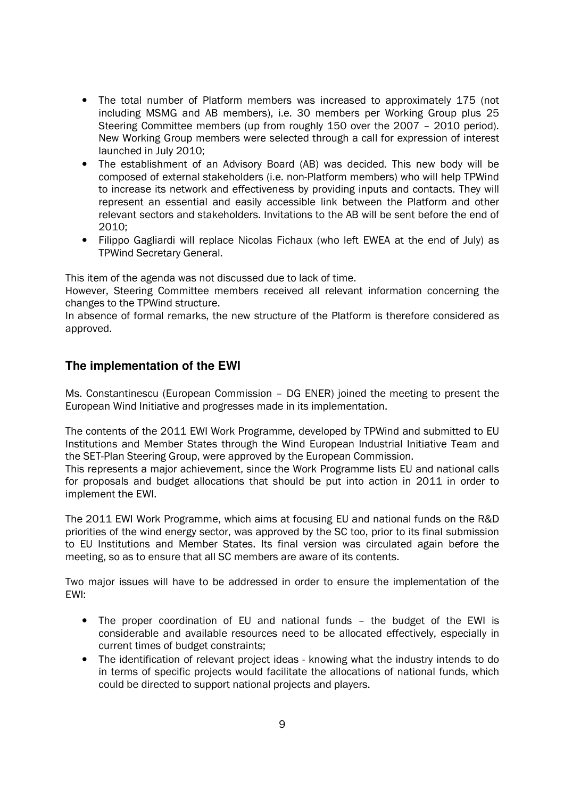- The total number of Platform members was increased to approximately 175 (not including MSMG and AB members), i.e. 30 members per Working Group plus 25 Steering Committee members (up from roughly 150 over the 2007 – 2010 period). New Working Group members were selected through a call for expression of interest launched in July 2010;
- The establishment of an Advisory Board (AB) was decided. This new body will be composed of external stakeholders (i.e. non-Platform members) who will help TPWind to increase its network and effectiveness by providing inputs and contacts. They will represent an essential and easily accessible link between the Platform and other relevant sectors and stakeholders. Invitations to the AB will be sent before the end of 2010;
- Filippo Gagliardi will replace Nicolas Fichaux (who left EWEA at the end of July) as TPWind Secretary General.

This item of the agenda was not discussed due to lack of time.

However, Steering Committee members received all relevant information concerning the changes to the TPWind structure.

In absence of formal remarks, the new structure of the Platform is therefore considered as approved.

#### **The implementation of the EWI**

Ms. Constantinescu (European Commission – DG ENER) joined the meeting to present the European Wind Initiative and progresses made in its implementation.

The contents of the 2011 EWI Work Programme, developed by TPWind and submitted to EU Institutions and Member States through the Wind European Industrial Initiative Team and the SET-Plan Steering Group, were approved by the European Commission.

This represents a major achievement, since the Work Programme lists EU and national calls for proposals and budget allocations that should be put into action in 2011 in order to implement the EWI.

The 2011 EWI Work Programme, which aims at focusing EU and national funds on the R&D priorities of the wind energy sector, was approved by the SC too, prior to its final submission to EU Institutions and Member States. Its final version was circulated again before the meeting, so as to ensure that all SC members are aware of its contents.

Two major issues will have to be addressed in order to ensure the implementation of the EWI:

- The proper coordination of EU and national funds the budget of the EWI is considerable and available resources need to be allocated effectively, especially in current times of budget constraints;
- The identification of relevant project ideas knowing what the industry intends to do in terms of specific projects would facilitate the allocations of national funds, which could be directed to support national projects and players.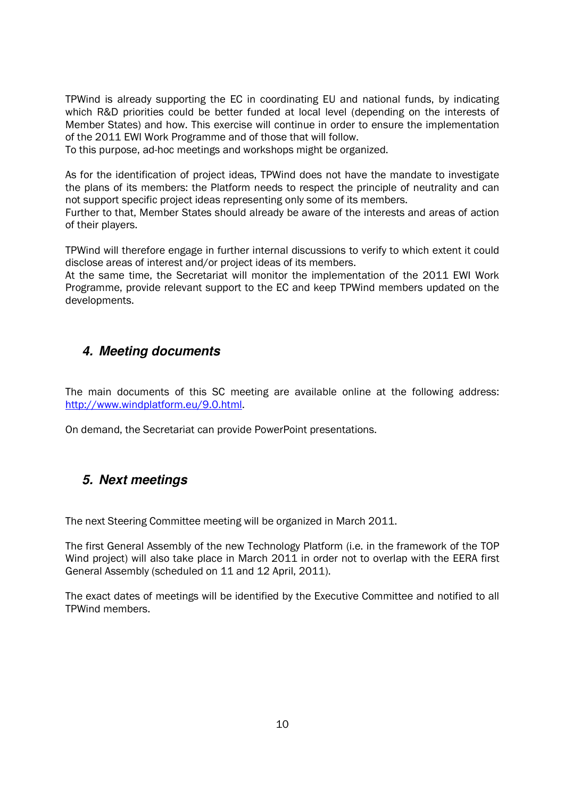TPWind is already supporting the EC in coordinating EU and national funds, by indicating which R&D priorities could be better funded at local level (depending on the interests of Member States) and how. This exercise will continue in order to ensure the implementation of the 2011 EWI Work Programme and of those that will follow.

To this purpose, ad-hoc meetings and workshops might be organized.

As for the identification of project ideas, TPWind does not have the mandate to investigate the plans of its members: the Platform needs to respect the principle of neutrality and can not support specific project ideas representing only some of its members.

Further to that, Member States should already be aware of the interests and areas of action of their players.

TPWind will therefore engage in further internal discussions to verify to which extent it could disclose areas of interest and/or project ideas of its members.

At the same time, the Secretariat will monitor the implementation of the 2011 EWI Work Programme, provide relevant support to the EC and keep TPWind members updated on the developments.

## **4. Meeting documents**

The main documents of this SC meeting are available online at the following address: http://www.windplatform.eu/9.0.html.

On demand, the Secretariat can provide PowerPoint presentations.

## **5. Next meetings**

The next Steering Committee meeting will be organized in March 2011.

The first General Assembly of the new Technology Platform (i.e. in the framework of the TOP Wind project) will also take place in March 2011 in order not to overlap with the EERA first General Assembly (scheduled on 11 and 12 April, 2011).

The exact dates of meetings will be identified by the Executive Committee and notified to all TPWind members.